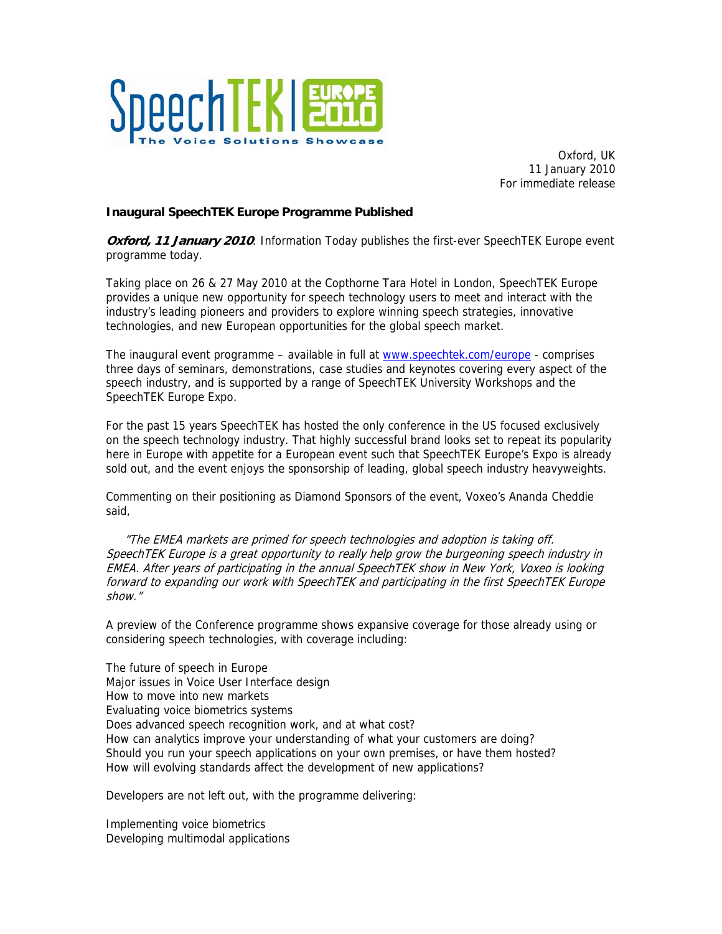

Oxford, UK 11 January 2010 For immediate release

## **Inaugural SpeechTEK Europe Programme Published**

**Oxford, 11 January 2010**: Information Today publishes the first-ever SpeechTEK Europe event programme today.

Taking place on 26 & 27 May 2010 at the Copthorne Tara Hotel in London, SpeechTEK Europe provides a unique new opportunity for speech technology users to meet and interact with the industry's leading pioneers and providers to explore winning speech strategies, innovative technologies, and new European opportunities for the global speech market.

The inaugural event programme – available in full at [www.speechtek.com/europe](http://www.speechtek.com/europe) - comprises three days of seminars, demonstrations, case studies and keynotes covering every aspect of the speech industry, and is supported by a range of SpeechTEK University Workshops and the SpeechTEK Europe Expo.

For the past 15 years SpeechTEK has hosted the only conference in the US focused exclusively on the speech technology industry. That highly successful brand looks set to repeat its popularity here in Europe with appetite for a European event such that SpeechTEK Europe's Expo is already sold out, and the event enjoys the sponsorship of leading, global speech industry heavyweights.

Commenting on their positioning as Diamond Sponsors of the event, Voxeo's Ananda Cheddie said,

 "The EMEA markets are primed for speech technologies and adoption is taking off. SpeechTEK Europe is a great opportunity to really help grow the burgeoning speech industry in EMEA. After years of participating in the annual SpeechTEK show in New York, Voxeo is looking forward to expanding our work with SpeechTEK and participating in the first SpeechTEK Europe show."

A preview of the Conference programme shows expansive coverage for those already using or considering speech technologies, with coverage including:

The future of speech in Europe Major issues in Voice User Interface design How to move into new markets Evaluating voice biometrics systems Does advanced speech recognition work, and at what cost? How can analytics improve your understanding of what your customers are doing? Should you run your speech applications on your own premises, or have them hosted? How will evolving standards affect the development of new applications?

Developers are not left out, with the programme delivering:

Implementing voice biometrics Developing multimodal applications